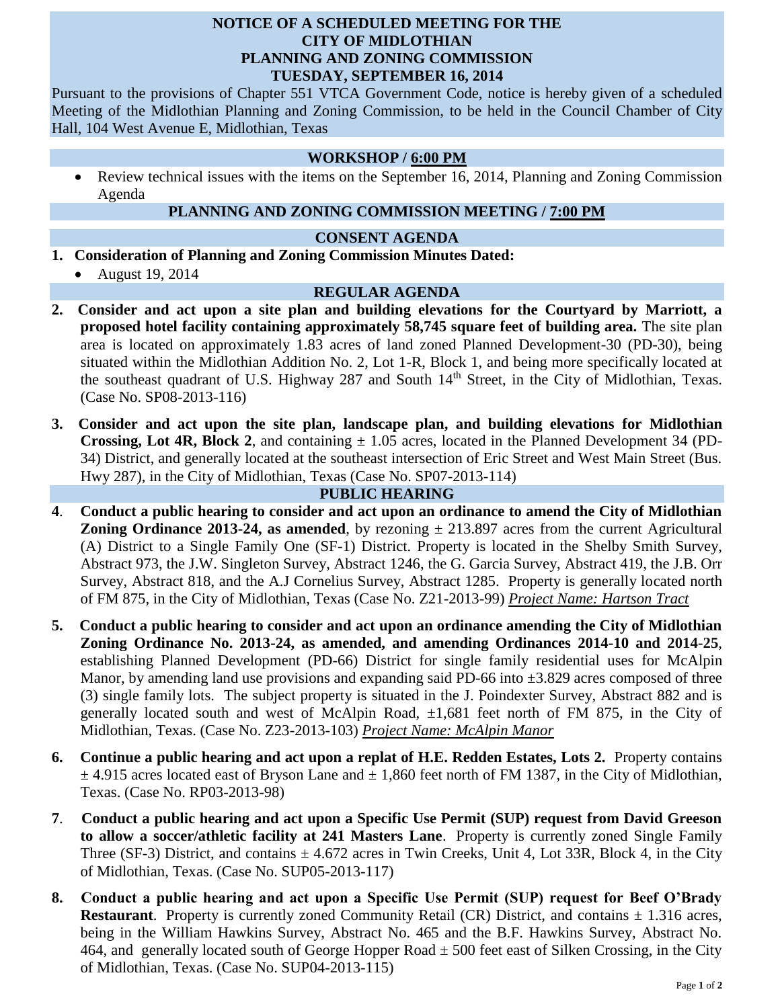## **NOTICE OF A SCHEDULED MEETING FOR THE CITY OF MIDLOTHIAN PLANNING AND ZONING COMMISSION TUESDAY, SEPTEMBER 16, 2014**

Pursuant to the provisions of Chapter 551 VTCA Government Code, notice is hereby given of a scheduled Meeting of the Midlothian Planning and Zoning Commission, to be held in the Council Chamber of City Hall, 104 West Avenue E, Midlothian, Texas

#### **WORKSHOP / 6:00 PM**

 Review technical issues with the items on the September 16, 2014, Planning and Zoning Commission Agenda

# **PLANNING AND ZONING COMMISSION MEETING / 7:00 PM**

#### **CONSENT AGENDA**

- **1. Consideration of Planning and Zoning Commission Minutes Dated:** 
	- August 19, 2014

#### **REGULAR AGENDA**

- **2. Consider and act upon a site plan and building elevations for the Courtyard by Marriott, a proposed hotel facility containing approximately 58,745 square feet of building area.** The site plan area is located on approximately 1.83 acres of land zoned Planned Development-30 (PD-30), being situated within the Midlothian Addition No. 2, Lot 1-R, Block 1, and being more specifically located at the southeast quadrant of U.S. Highway 287 and South  $14<sup>th</sup>$  Street, in the City of Midlothian, Texas. (Case No. SP08-2013-116)
- **3. Consider and act upon the site plan, landscape plan, and building elevations for Midlothian Crossing, Lot 4R, Block 2**, and containing  $\pm$  1.05 acres, located in the Planned Development 34 (PD-34) District, and generally located at the southeast intersection of Eric Street and West Main Street (Bus. Hwy 287), in the City of Midlothian, Texas (Case No. SP07-2013-114)

## **PUBLIC HEARING**

- **4**. **Conduct a public hearing to consider and act upon an ordinance to amend the City of Midlothian Zoning Ordinance 2013-24, as amended**, by rezoning  $\pm$  213.897 acres from the current Agricultural (A) District to a Single Family One (SF-1) District. Property is located in the Shelby Smith Survey, Abstract 973, the J.W. Singleton Survey, Abstract 1246, the G. Garcia Survey, Abstract 419, the J.B. Orr Survey, Abstract 818, and the A.J Cornelius Survey, Abstract 1285. Property is generally located north of FM 875, in the City of Midlothian, Texas (Case No. Z21-2013-99) *Project Name: Hartson Tract*
- **5. Conduct a public hearing to consider and act upon an ordinance amending the City of Midlothian Zoning Ordinance No. 2013-24, as amended, and amending Ordinances 2014-10 and 2014-25**, establishing Planned Development (PD-66) District for single family residential uses for McAlpin Manor, by amending land use provisions and expanding said PD-66 into  $\pm$ 3.829 acres composed of three (3) single family lots. The subject property is situated in the J. Poindexter Survey, Abstract 882 and is generally located south and west of McAlpin Road,  $\pm 1,681$  feet north of FM 875, in the City of Midlothian, Texas. (Case No. Z23-2013-103) *Project Name: McAlpin Manor*
- **6. Continue a public hearing and act upon a replat of H.E. Redden Estates, Lots 2.** Property contains  $\pm$  4.915 acres located east of Bryson Lane and  $\pm$  1,860 feet north of FM 1387, in the City of Midlothian, Texas. (Case No. RP03-2013-98)
- **7**. **Conduct a public hearing and act upon a Specific Use Permit (SUP) request from David Greeson to allow a soccer/athletic facility at 241 Masters Lane**. Property is currently zoned Single Family Three (SF-3) District, and contains  $\pm$  4.672 acres in Twin Creeks, Unit 4, Lot 33R, Block 4, in the City of Midlothian, Texas. (Case No. SUP05-2013-117)
- **8. Conduct a public hearing and act upon a Specific Use Permit (SUP) request for Beef O'Brady Restaurant**. Property is currently zoned Community Retail (CR) District, and contains  $\pm$  1.316 acres, being in the William Hawkins Survey, Abstract No. 465 and the B.F. Hawkins Survey, Abstract No. 464, and generally located south of George Hopper Road  $\pm$  500 feet east of Silken Crossing, in the City of Midlothian, Texas. (Case No. SUP04-2013-115)